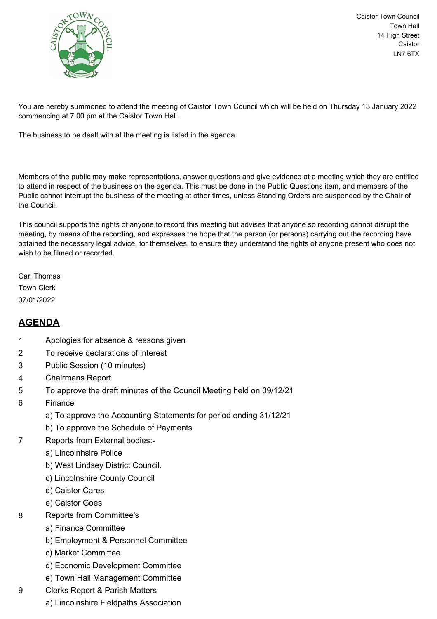

Caistor Town Council Town Hall 14 High Street Caistor LN7 6TX

You are hereby summoned to attend the meeting of Caistor Town Council which will be held on Thursday 13 January 2022 commencing at 7.00 pm at the Caistor Town Hall.

The business to be dealt with at the meeting is listed in the agenda.

Members of the public may make representations, answer questions and give evidence at a meeting which they are entitled to attend in respect of the business on the agenda. This must be done in the Public Questions item, and members of the Public cannot interrupt the business of the meeting at other times, unless Standing Orders are suspended by the Chair of the Council.

This council supports the rights of anyone to record this meeting but advises that anyone so recording cannot disrupt the meeting, by means of the recording, and expresses the hope that the person (or persons) carrying out the recording have obtained the necessary legal advice, for themselves, to ensure they understand the rights of anyone present who does not wish to be filmed or recorded.

Carl Thomas Town Clerk 07/01/2022

## **AGENDA**

- 1 Apologies for absence & reasons given
- 2 To receive declarations of interest
- 3 Public Session (10 minutes)
- 4 Chairmans Report
- 5 To approve the draft minutes of the Council Meeting held on 09/12/21
- 6 Finance
	- a) To approve the Accounting Statements for period ending 31/12/21
	- b) To approve the Schedule of Payments
- 7 Reports from External bodies:
	- a) Lincolnhsire Police
	- b) West Lindsey District Council.
	- c) Lincolnshire County Council
	- d) Caistor Cares
	- e) Caistor Goes
- 8 Reports from Committee's
	- a) Finance Committee
	- b) Employment & Personnel Committee
	- c) Market Committee
	- d) Economic Development Committee
	- e) Town Hall Management Committee
- 9 Clerks Report & Parish Matters
	- a) Lincolnshire Fieldpaths Association